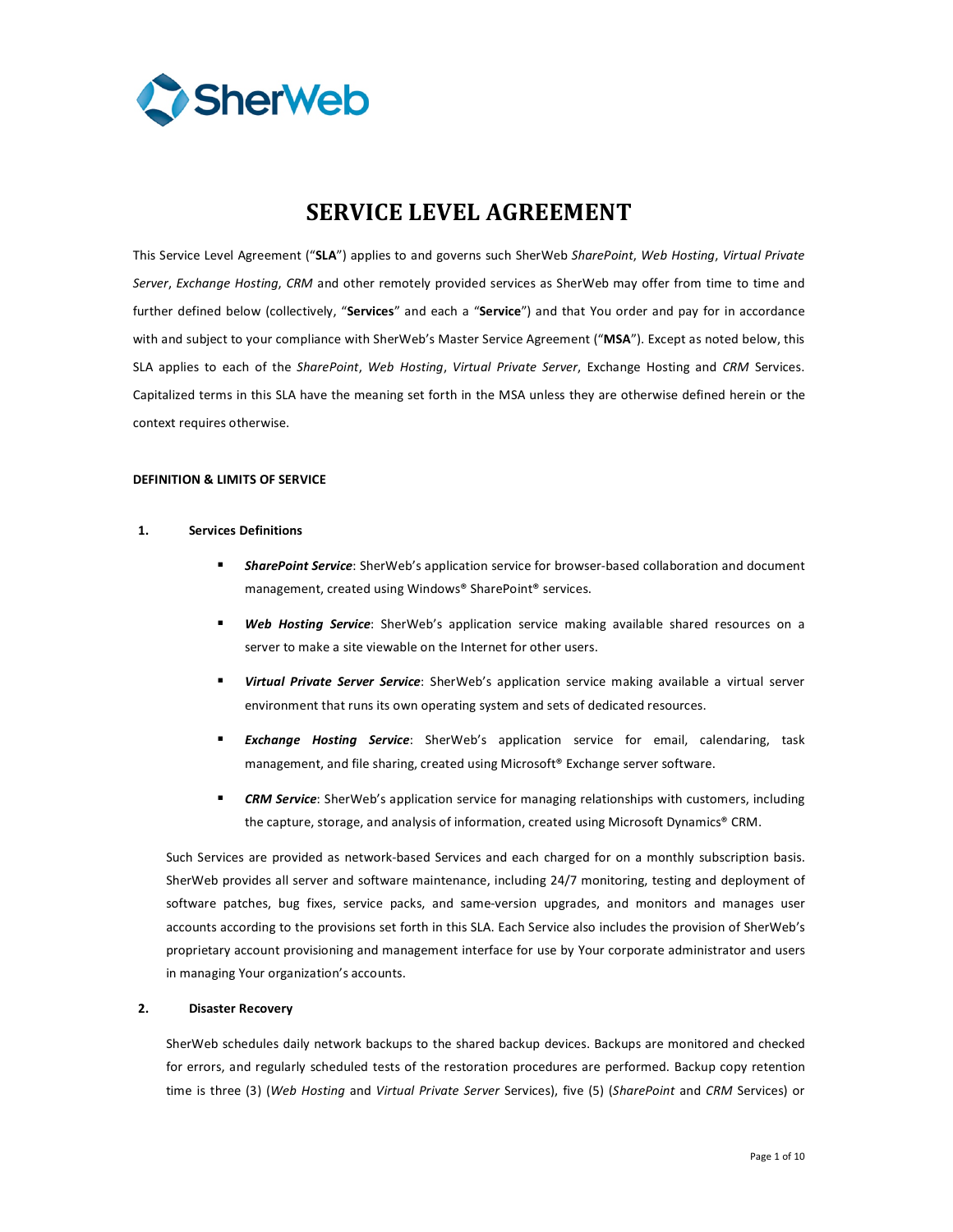

# **SERVICE
LEVEL
AGREEMENT**

This Service Level Agreement ("SLA") applies to and governs such SherWeb SharePoint, Web Hosting, Virtual Private Server, Exchange Hosting, CRM and other remotely provided services as SherWeb may offer from time to time and further defined below (collectively, "Services" and each a "Service") and that You order and pay for in accordance with and subject to your compliance with SherWeb's Master Service Agreement ("MSA"). Except as noted below, this SLA applies to each of the SharePoint, Web Hosting, Virtual Private Server, Exchange Hosting and CRM Services. Capitalized terms in this SLA have the meaning set forth in the MSA unless they are otherwise defined herein or the context
requires
otherwise.

# **DEFINITION
&
LIMITS
OF
SERVICE**

# **1. Services
Definitions**

- SharePoint Service: SherWeb's application service for browser-based collaboration and document management,
created
using
Windows® SharePoint®
services.
- Web Hosting Service: SherWeb's application service making available shared resources on a server to make a site viewable on the Internet for other users.
- Virtual Private Server Service: SherWeb's application service making available a virtual server environment
that
runs
its
own
operating
system
and
sets
of
dedicated
resources.
- **Exchange Hosting Service:** SherWeb's application service for email, calendaring, task management, and file sharing, created using Microsoft® Exchange server software.
- **CRM Service**: SherWeb's application service for managing relationships with customers, including the capture, storage, and analysis of information, created using Microsoft Dynamics® CRM.

Such Services are provided as network-based Services and each charged for on a monthly subscription basis. SherWeb provides all server and software maintenance, including 24/7 monitoring, testing and deployment of software patches, bug fixes, service packs, and same-version upgrades, and monitors and manages user accounts according to the provisions set forth in this SLA. Each Service also includes the provision of SherWeb's proprietary account provisioning and management interface for use by Your corporate administrator and users in
managing
Your
organization's
accounts.

# **2. Disaster
Recovery**

SherWeb schedules daily network backups to the shared backup devices. Backups are monitored and checked for errors, and regularly scheduled tests of the restoration procedures are performed. Backup copy retention time is three (3) (Web Hosting and Virtual Private Server Services), five (5) (SharePoint and CRM Services) or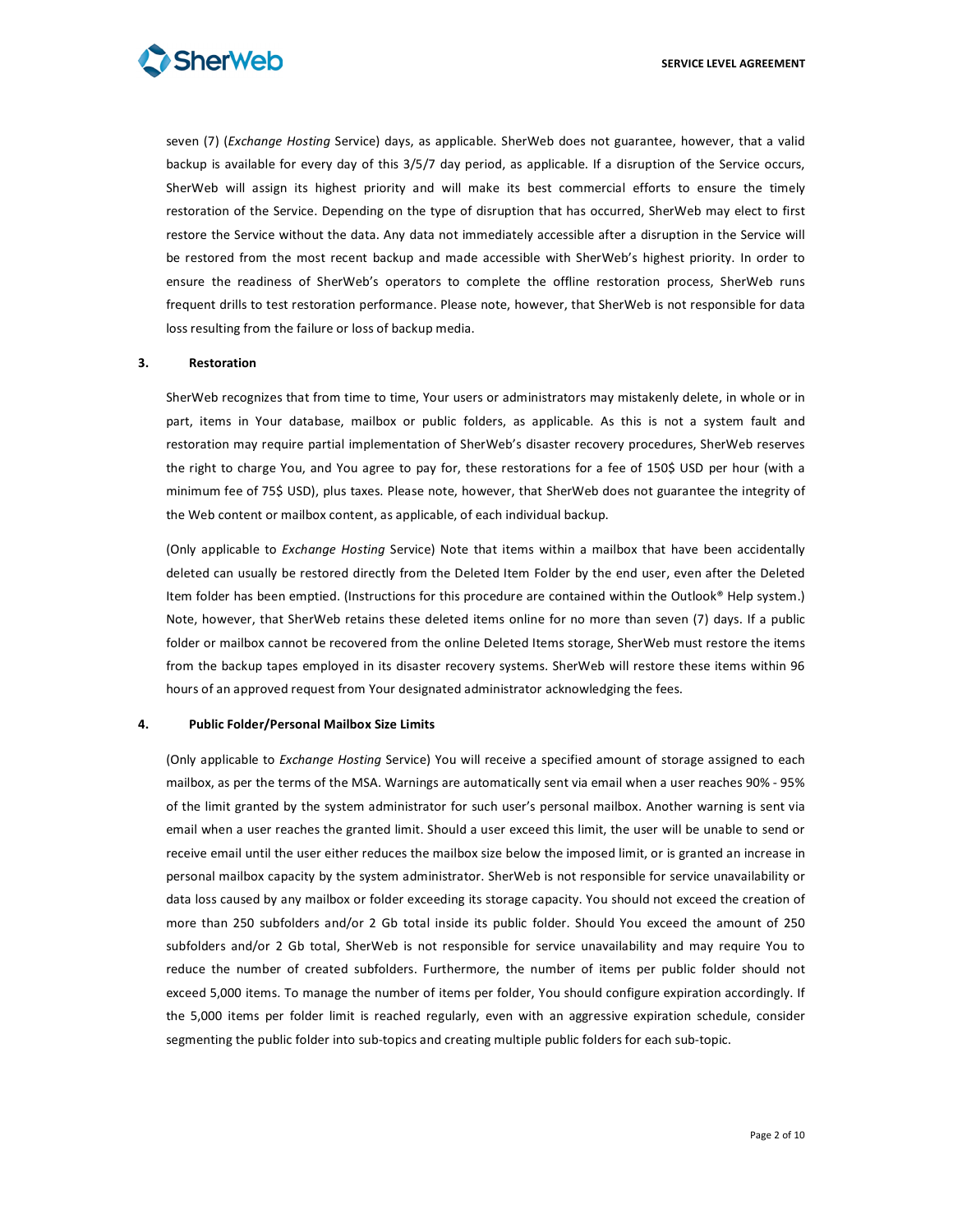

seven (7) (Exchange Hosting Service) days, as applicable. SherWeb does not guarantee, however, that a valid backup is available for every day of this 3/5/7 day period, as applicable. If a disruption of the Service occurs, SherWeb will assign its highest priority and will make its best commercial efforts to ensure the timely restoration of the Service. Depending on the type of disruption that has occurred, SherWeb may elect to first restore the Service without the data. Any data not immediately accessible after a disruption in the Service will be restored from the most recent backup and made accessible with SherWeb's highest priority. In order to ensure the readiness of SherWeb's operators to complete the offline restoration process, SherWeb runs frequent drills to test restoration performance. Please note, however, that SherWeb is not responsible for data loss
resulting
from
the
failure
or
loss
of
backup
media.

#### **3. Restoration**

SherWeb recognizes that from time to time, Your users or administrators may mistakenly delete, in whole or in part, items in Your database, mailbox or public folders, as applicable. As this is not a system fault and restoration may require partial implementation of SherWeb's disaster recovery procedures, SherWeb reserves the right to charge You, and You agree to pay for, these restorations for a fee of 150\$ USD per hour (with a minimum fee of 75\$ USD), plus taxes. Please note, however, that SherWeb does not guarantee the integrity of the
Web
content
or
mailbox
content,
as
applicable,
of
each
individual
backup.

(Only applicable to *Exchange Hosting* Service) Note that items within a mailbox that have been accidentally deleted can usually be restored directly from the Deleted Item Folder by the end user, even after the Deleted Item folder has been emptied. (Instructions for this procedure are contained within the Outlook® Help system.) Note, however, that SherWeb retains these deleted items online for no more than seven (7) days. If a public folder or mailbox cannot be recovered from the online Deleted Items storage, SherWeb must restore the items from the backup tapes employed in its disaster recovery systems. SherWeb will restore these items within 96 hours of an approved request from Your designated administrator acknowledging the fees.

#### **4. Public
Folder/Personal
Mailbox
Size
Limits**

(Only applicable to *Exchange Hosting* Service) You will receive a specified amount of storage assigned to each mailbox, as per the terms of the MSA. Warnings are automatically sent via email when a user reaches 90% - 95% of the limit granted by the system administrator for such user's personal mailbox. Another warning is sent via email when a user reaches the granted limit. Should a user exceed this limit, the user will be unable to send or receive email until the user either reduces the mailbox size below the imposed limit, or is granted an increase in personal mailbox capacity by the system administrator. SherWeb is not responsible for service unavailability or data loss caused by any mailbox or folder exceeding its storage capacity. You should not exceed the creation of more than 250 subfolders and/or 2 Gb total inside its public folder. Should You exceed the amount of 250 subfolders and/or 2 Gb total, SherWeb is not responsible for service unavailability and may require You to reduce the number of created subfolders. Furthermore, the number of items per public folder should not exceed 5,000 items. To manage the number of items per folder, You should configure expiration accordingly. If the 5,000 items per folder limit is reached regularly, even with an aggressive expiration schedule, consider segmenting the public folder into sub-topics and creating multiple public folders for each sub-topic.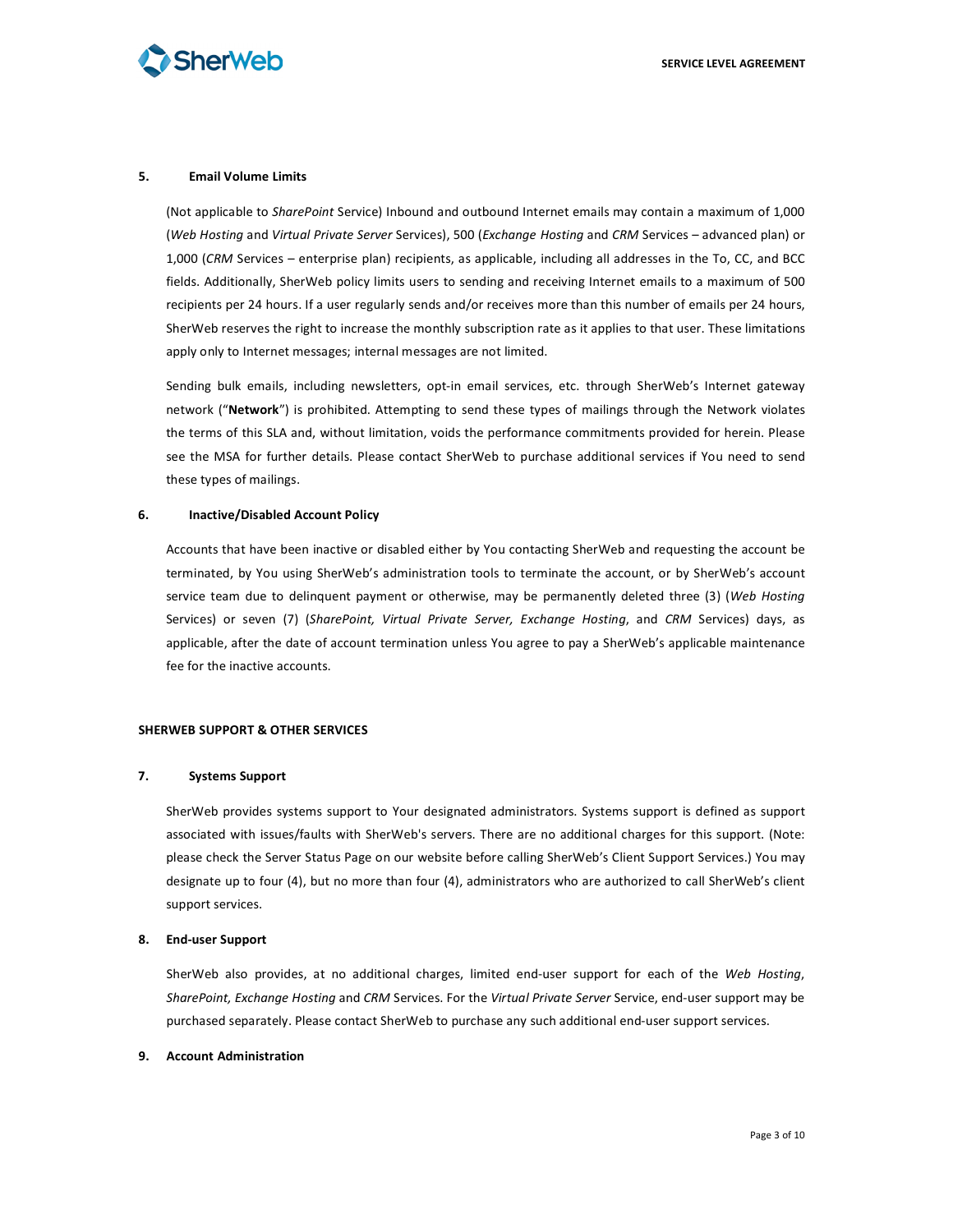

## **5. Email
Volume
Limits**

(Not applicable to *SharePoint* Service) Inbound and outbound Internet emails may contain a maximum of 1,000 (*Web Hosting* and *Virtual Private Server Services*), 500 (*Exchange Hosting* and CRM Services – advanced plan) or 1,000 (CRM Services - enterprise plan) recipients, as applicable, including all addresses in the To, CC, and BCC fields. Additionally, SherWeb policy limits users to sending and receiving Internet emails to a maximum of 500 recipients per 24 hours. If a user regularly sends and/or receives more than this number of emails per 24 hours, SherWeb reserves the right to increase the monthly subscription rate as it applies to that user. These limitations apply only to Internet messages; internal messages are not limited.

Sending bulk emails, including newsletters, opt-in email services, etc. through SherWeb's Internet gateway network ("Network") is prohibited. Attempting to send these types of mailings through the Network violates the terms of this SLA and, without limitation, voids the performance commitments provided for herein. Please see the MSA for further details. Please contact SherWeb to purchase additional services if You need to send these
types
of
mailings.

#### **6. Inactive/Disabled
Account
Policy**

Accounts
that
have
been
inactive
or
disabled
either
by
You
contacting
SherWeb
and
requesting
the
account
be terminated, by You using SherWeb's administration tools to terminate the account, or by SherWeb's account service team due to delinquent payment or otherwise, may be permanently deleted three (3) (Web Hosting Services) or seven (7) (SharePoint, Virtual Private Server, Exchange Hosting, and CRM Services) days, as applicable, after the date of account termination unless You agree to pay a SherWeb's applicable maintenance fee
for
the
inactive
accounts.

#### **SHERWEB
SUPPORT
&
OTHER
SERVICES**

#### **7. Systems
Support**

SherWeb provides systems support to Your designated administrators. Systems support is defined as support associated with issues/faults with SherWeb's servers. There are no additional charges for this support. (Note: please check the Server Status Page on our website before calling SherWeb's Client Support Services.) You may designate up to four (4), but no more than four (4), administrators who are authorized to call SherWeb's client support
services.

#### **8. End‐user
Support**

SherWeb also provides, at no additional charges, limited end-user support for each of the Web Hosting, SharePoint, Exchange Hosting and CRM Services. For the Virtual Private Server Service, end-user support may be purchased
separately. Please
contact
SherWeb
to
purchase
any
such
additional
end‐user
support
services.

#### **9. Account
Administration**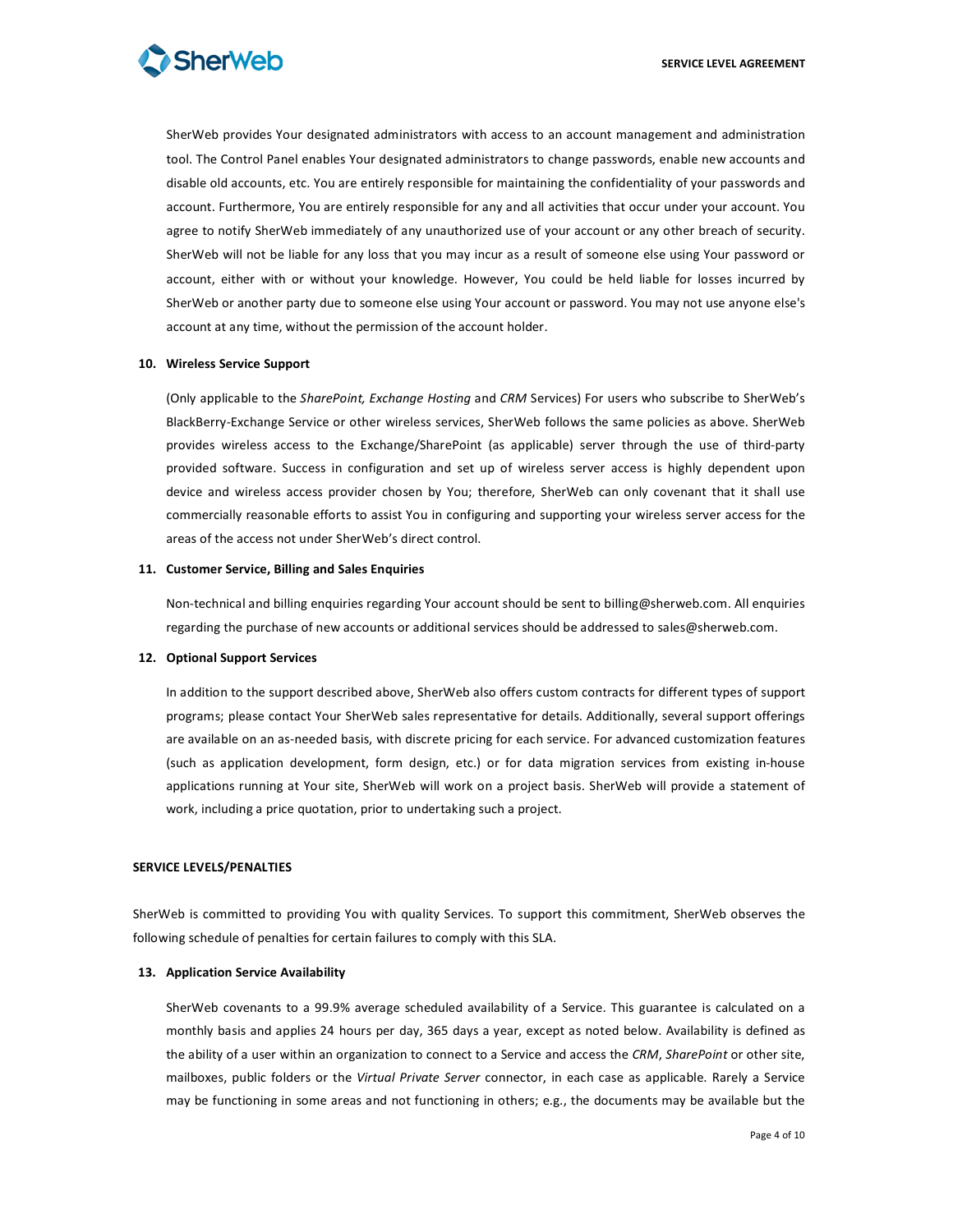SherWeb provides Your designated administrators with access to an account management and administration tool. The Control Panel enables Your designated administrators to change passwords, enable new accounts and disable old accounts, etc. You are entirely responsible for maintaining the confidentiality of your passwords and account. Furthermore, You are entirely responsible for any and all activities that occur under your account. You agree to notify SherWeb immediately of any unauthorized use of your account or any other breach of security. SherWeb will not be liable for any loss that you may incur as a result of someone else using Your password or account, either with or without your knowledge. However, You could be held liable for losses incurred by SherWeb or another party due to someone else using Your account or password. You may not use anyone else's account at any time, without the permission of the account holder.

#### **10. Wireless
Service
Support**

(Only applicable to the SharePoint, Exchange Hosting and CRM Services) For users who subscribe to SherWeb's BlackBerry-Exchange Service or other wireless services, SherWeb follows the same policies as above. SherWeb provides wireless access to the Exchange/SharePoint (as applicable) server through the use of third-party provided software. Success in configuration and set up of wireless server access is highly dependent upon device and wireless access provider chosen by You; therefore, SherWeb can only covenant that it shall use commercially reasonable efforts to assist You in configuring and supporting your wireless server access for the areas
of
the
access
not
under
SherWeb's
direct
control.

#### **11. Customer
Service,
Billing
and
Sales
Enquiries**

Non-technical and billing enquiries regarding Your account should be sent to billing@sherweb.com. All enquiries regarding the purchase of new accounts or additional services should be addressed to sales@sherweb.com.

#### **12. Optional
Support
Services**

In addition to the support described above, SherWeb also offers custom contracts for different types of support programs; please contact Your SherWeb sales representative for details. Additionally, several support offerings are available on an as-needed basis, with discrete pricing for each service. For advanced customization features (such as application development, form design, etc.) or for data migration services from existing in-house applications running at Your site, SherWeb will work on a project basis. SherWeb will provide a statement of work,
including
a
price
quotation,
prior
to
undertaking
such
a
project.

#### **SERVICE
LEVELS/PENALTIES**

SherWeb is committed to providing You with quality Services. To support this commitment, SherWeb observes the following
schedule
of
penalties
for
certain
failures
to
comply
with
this
SLA.

#### **13. Application
Service
Availability**

SherWeb covenants to a 99.9% average scheduled availability of a Service. This guarantee is calculated on a monthly
basis
and
applies
24
hours
per
day,
365
days
a
year,
except
as
noted
below.
Availability
is
defined
as the ability of a user within an organization to connect to a Service and access the CRM, SharePoint or other site, mailboxes, public folders or the Virtual Private Server connector, in each case as applicable. Rarely a Service may be functioning in some areas and not functioning in others; e.g., the documents may be available but the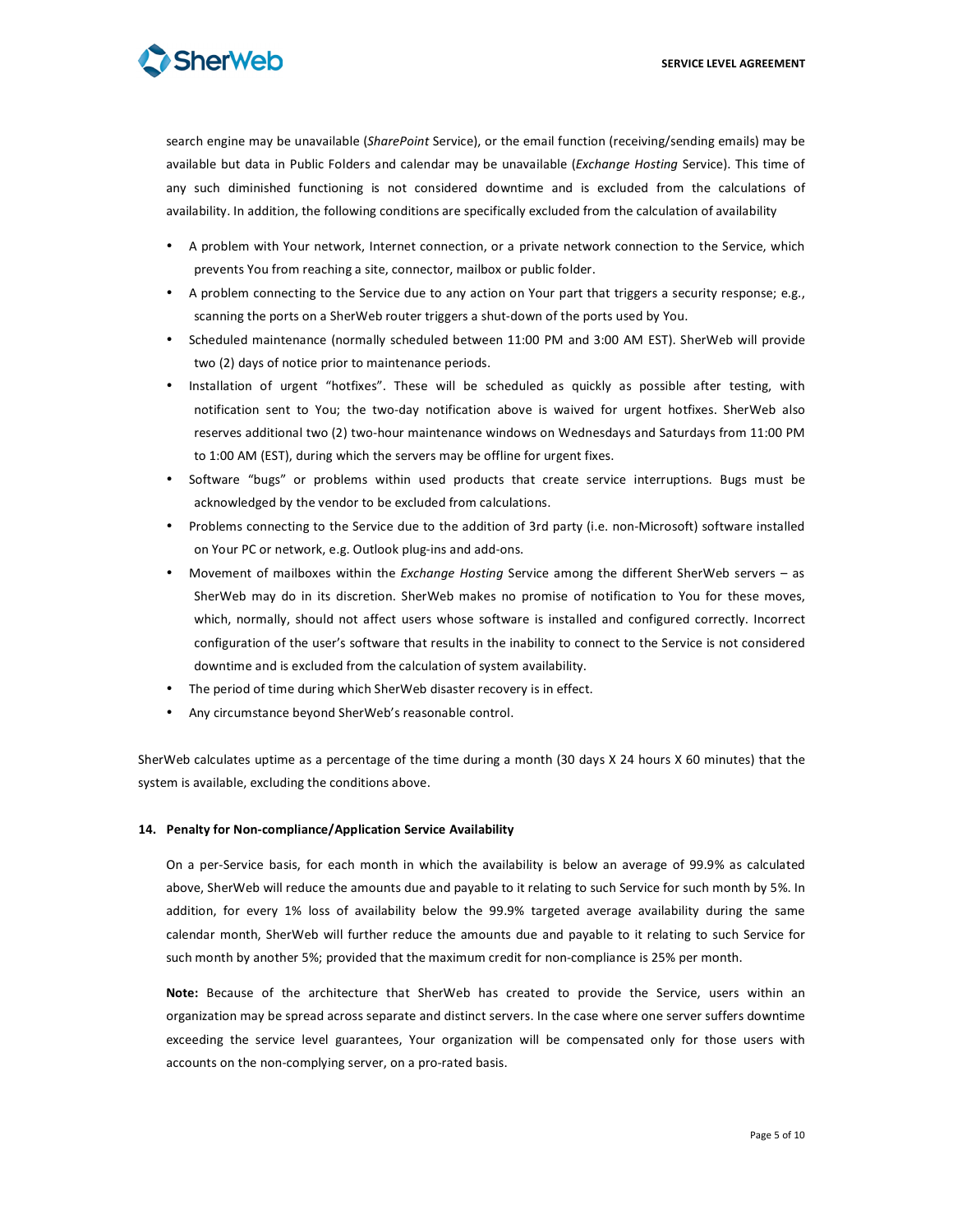

search engine may be unavailable (SharePoint Service), or the email function (receiving/sending emails) may be available but data in Public Folders and calendar may be unavailable (*Exchange Hosting* Service). This time of any such diminished functioning is not considered downtime and is excluded from the calculations of availability. In addition, the following conditions are specifically excluded from the calculation of availability

- A problem with Your network, Internet connection, or a private network connection to the Service, which prevents
You
from
reaching
a
site,
connector,
mailbox
or
public
folder.
- A problem connecting to the Service due to any action on Your part that triggers a security response; e.g., scanning the ports on a SherWeb router triggers a shut-down of the ports used by You.
- Scheduled maintenance (normally scheduled between 11:00 PM and 3:00 AM EST). SherWeb will provide two (2) days of notice prior to maintenance periods.
- Installation of urgent "hotfixes". These will be scheduled as quickly as possible after testing, with notification sent to You; the two-day notification above is waived for urgent hotfixes. SherWeb also reserves additional two (2) two-hour maintenance windows on Wednesdays and Saturdays from 11:00 PM to
1:00
AM
(EST),
during
which
the
servers
may
be
offline
for
urgent
fixes.
- Software "bugs" or problems within used products that create service interruptions. Bugs must be acknowledged
by
the
vendor
to
be
excluded
from
calculations.
- Problems connecting to the Service due to the addition of 3rd party (i.e. non-Microsoft) software installed on
Your
PC
or
network,
e.g.
Outlook
plug‐ins
and
add‐ons.
- Movement of mailboxes within the *Exchange Hosting* Service among the different SherWeb servers as SherWeb may do in its discretion. SherWeb makes no promise of notification to You for these moves, which, normally, should not affect users whose software is installed and configured correctly. Incorrect configuration of the user's software that results in the inability to connect to the Service is not considered downtime
and
is
excluded
from
the
calculation
of
system
availability.
- The period of time during which SherWeb disaster recovery is in effect.
- Any circumstance beyond SherWeb's reasonable control.

SherWeb calculates uptime as a percentage of the time during a month (30 days X 24 hours X 60 minutes) that the system
is
available,
excluding
the
conditions
above.

#### **14. Penalty
for
Non‐compliance/Application
Service
Availability**

On a per-Service basis, for each month in which the availability is below an average of 99.9% as calculated above, SherWeb will reduce the amounts due and payable to it relating to such Service for such month by 5%. In addition, for every 1% loss of availability below the 99.9% targeted average availability during the same calendar month, SherWeb will further reduce the amounts due and payable to it relating to such Service for such month by another 5%; provided that the maximum credit for non-compliance is 25% per month.

Note: Because of the architecture that SherWeb has created to provide the Service, users within an organization
may
be
spread
across
separate
and
distinct
servers.
In
the
case
where
one
server
suffers
downtime exceeding the service level guarantees, Your organization will be compensated only for those users with accounts
on
the
non‐complying
server,
on
a
pro‐rated
basis.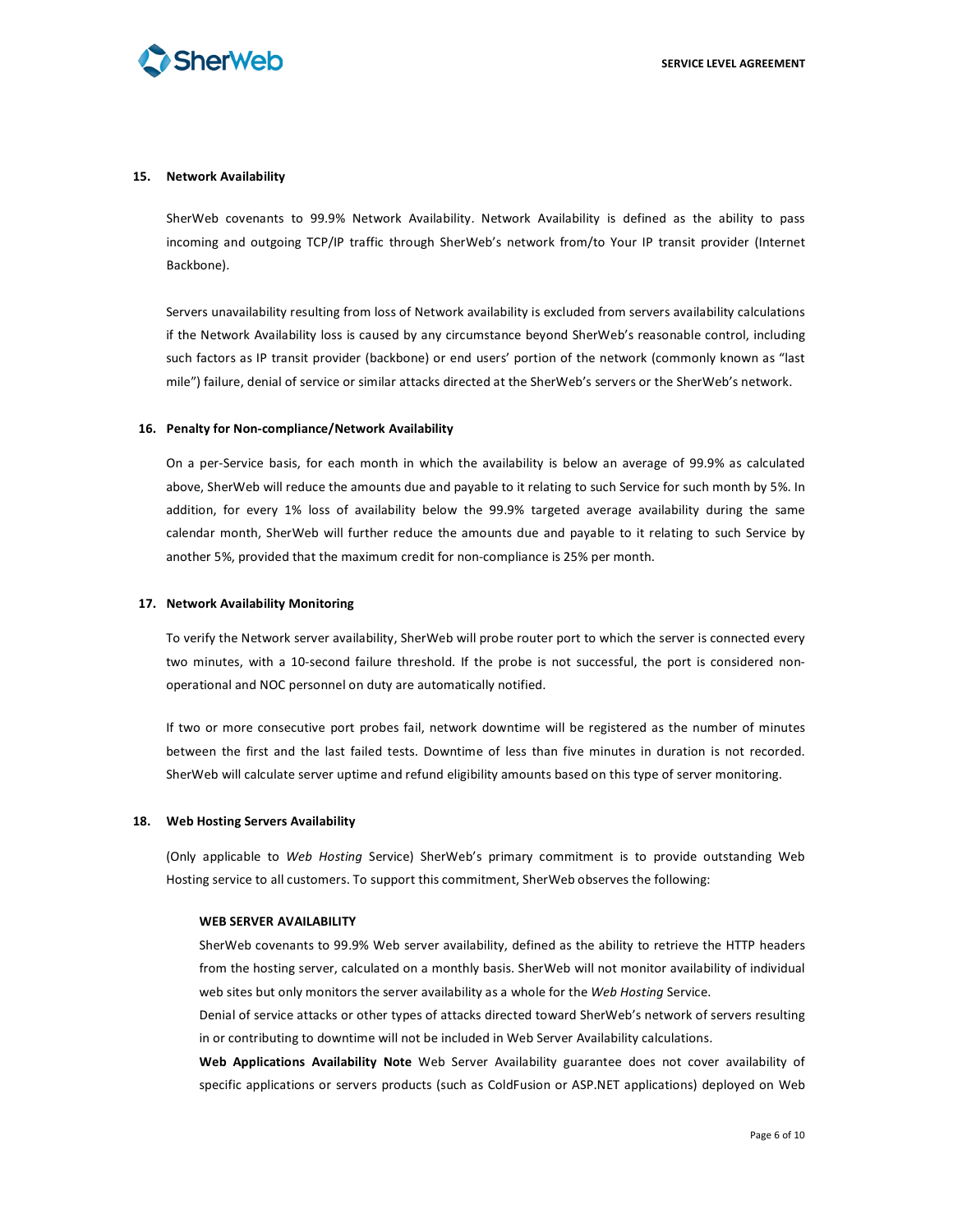

#### **15. Network
Availability**

SherWeb covenants to 99.9% Network Availability. Network Availability is defined as the ability to pass incoming and outgoing TCP/IP traffic through SherWeb's network from/to Your IP transit provider (Internet Backbone).

Servers unavailability resulting from loss of Network availability is excluded from servers availability calculations if the Network Availability loss is caused by any circumstance beyond SherWeb's reasonable control, including such factors as IP transit provider (backbone) or end users' portion of the network (commonly known as "last mile") failure, denial of service or similar attacks directed at the SherWeb's servers or the SherWeb's network.

#### **16. Penalty
for
Non‐compliance/Network
Availability**

On a per-Service basis, for each month in which the availability is below an average of 99.9% as calculated above, SherWeb will reduce the amounts due and payable to it relating to such Service for such month by 5%. In addition, for every 1% loss of availability below the 99.9% targeted average availability during the same calendar month, SherWeb will further reduce the amounts due and payable to it relating to such Service by another 5%, provided that the maximum credit for non-compliance is 25% per month.

#### **17. Network
Availability
Monitoring**

To verify the Network server availability, SherWeb will probe router port to which the server is connected every two minutes, with a 10-second failure threshold. If the probe is not successful, the port is considered nonoperational
and
NOC
personnel
on
duty
are
automatically
notified.

If two or more consecutive port probes fail, network downtime will be registered as the number of minutes between the first and the last failed tests. Downtime of less than five minutes in duration is not recorded. SherWeb will calculate server uptime and refund eligibility amounts based on this type of server monitoring.

#### **18. Web
Hosting
Servers
Availability**

(Only applicable to Web Hosting Service) SherWeb's primary commitment is to provide outstanding Web Hosting service to all customers. To support this commitment, SherWeb observes the following:

#### **WEB
SERVER
AVAILABILITY**

SherWeb covenants to 99.9% Web server availability, defined as the ability to retrieve the HTTP headers from the hosting server, calculated on a monthly basis. SherWeb will not monitor availability of individual web sites but only monitors the server availability as a whole for the Web Hosting Service.

Denial of service attacks or other types of attacks directed toward SherWeb's network of servers resulting in or contributing to downtime will not be included in Web Server Availability calculations.

Web Applications Availability Note Web Server Availability guarantee does not cover availability of specific applications or servers products (such as ColdFusion or ASP.NET applications) deployed on Web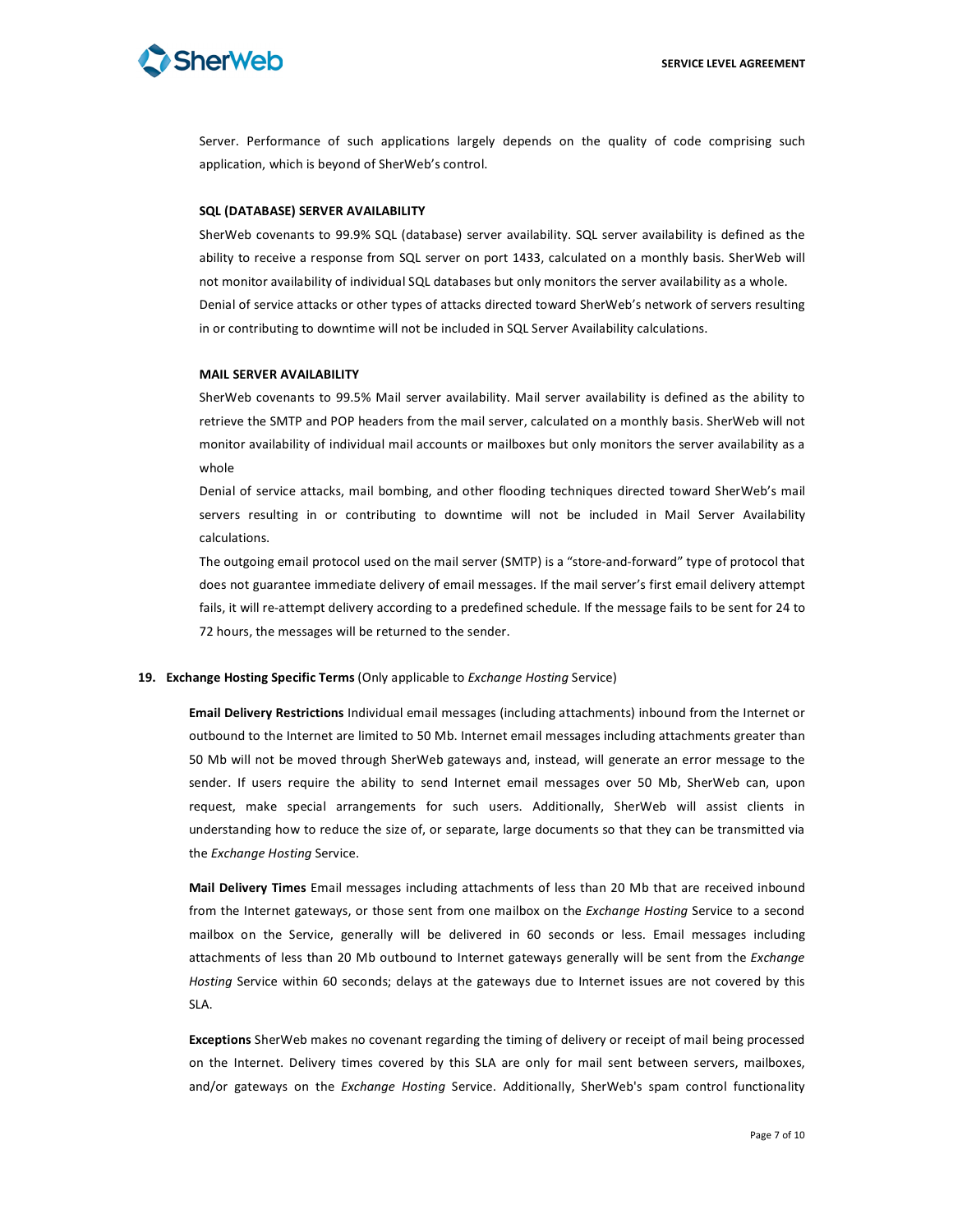# **Sherweb**

Server. Performance of such applications largely depends on the quality of code comprising such application, which is beyond of SherWeb's control.

#### **SQL
(DATABASE)
SERVER
AVAILABILITY**

SherWeb covenants to 99.9% SQL (database) server availability. SQL server availability is defined as the ability to receive a response from SQL server on port 1433, calculated on a monthly basis. SherWeb will not monitor availability of individual SQL databases but only monitors the server availability as a whole. Denial of service attacks or other types of attacks directed toward SherWeb's network of servers resulting in or contributing to downtime will not be included in SQL Server Availability calculations.

## **MAIL
SERVER
AVAILABILITY**

SherWeb covenants to 99.5% Mail server availability. Mail server availability is defined as the ability to retrieve the SMTP and POP headers from the mail server, calculated on a monthly basis. SherWeb will not monitor availability of individual mail accounts or mailboxes but only monitors the server availability as a whole

Denial of service attacks, mail bombing, and other flooding techniques directed toward SherWeb's mail servers resulting in or contributing to downtime will not be included in Mail Server Availability calculations.

The outgoing email protocol used on the mail server (SMTP) is a "store-and-forward" type of protocol that does not guarantee immediate delivery of email messages. If the mail server's first email delivery attempt fails, it will re-attempt delivery according to a predefined schedule. If the message fails to be sent for 24 to 72
hours,
the
messages
will
be
returned
to
the
sender.

# 19. **Exchange Hosting Specific Terms** (Only applicable to *Exchange Hosting* Service)

**Email Delivery Restrictions** Individual email messages (including attachments) inbound from the Internet or outbound to the Internet are limited to 50 Mb. Internet email messages including attachments greater than 50 Mb will not be moved through SherWeb gateways and, instead, will generate an error message to the sender. If users require the ability to send Internet email messages over 50 Mb, SherWeb can, upon request, make special arrangements for such users. Additionally, SherWeb will assist clients in understanding how to reduce the size of, or separate, large documents so that they can be transmitted via the *Exchange
Hosting*Service.

Mail Delivery Times Email messages including attachments of less than 20 Mb that are received inbound from the Internet gateways, or those sent from one mailbox on the *Exchange Hosting* Service to a second mailbox on the Service, generally will be delivered in 60 seconds or less. Email messages including attachments of less than 20 Mb outbound to Internet gateways generally will be sent from the Exchange Hosting Service within 60 seconds; delays at the gateways due to Internet issues are not covered by this SLA.

**Exceptions** SherWeb makes no covenant regarding the timing of delivery or receipt of mail being processed on the Internet. Delivery times covered by this SLA are only for mail sent between servers, mailboxes, and/or gateways on the *Exchange Hosting* Service. Additionally, SherWeb's spam control functionality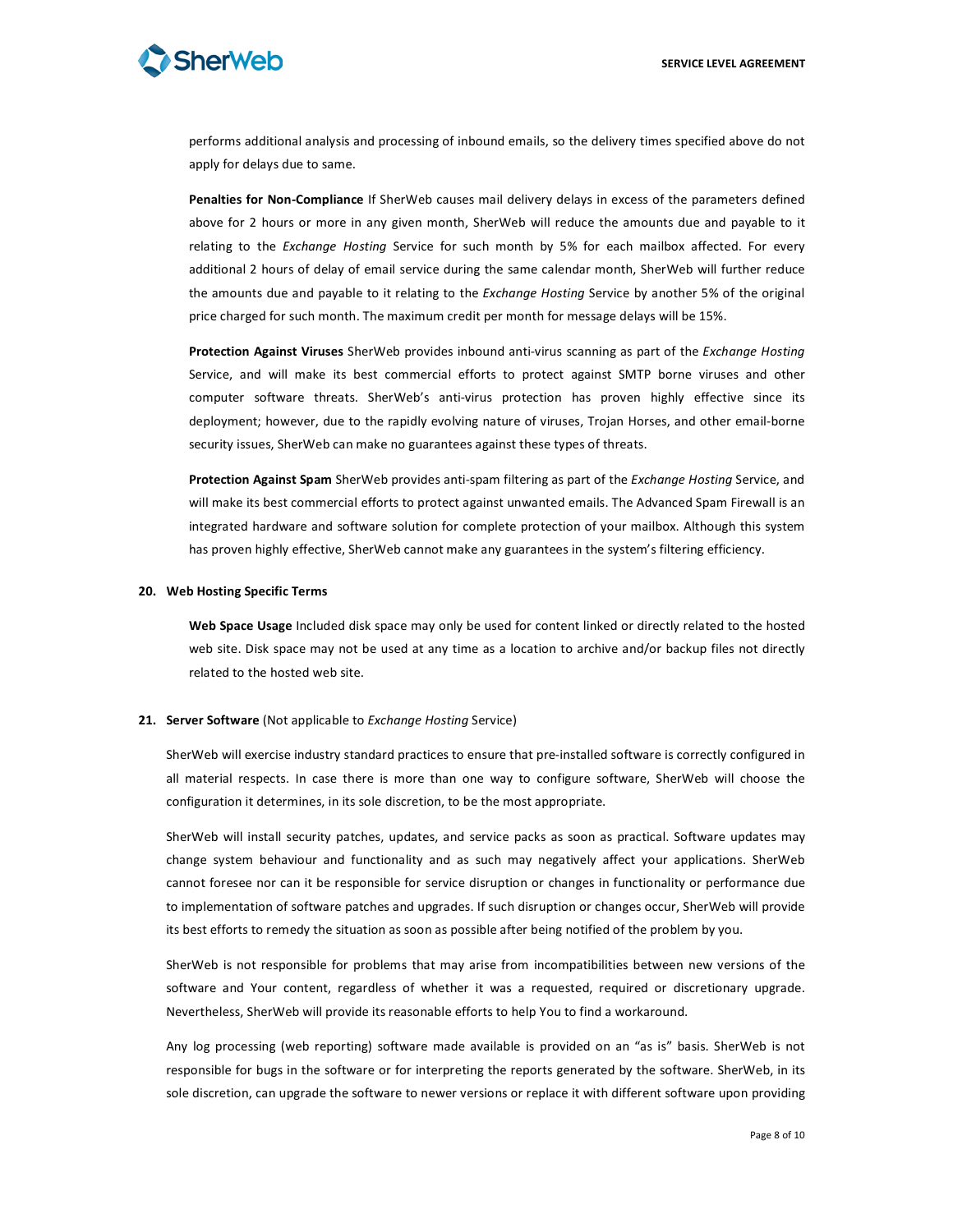

performs additional analysis and processing of inbound emails, so the delivery times specified above do not apply
for
delays
due
to
same.

Penalties for Non-Compliance If SherWeb causes mail delivery delays in excess of the parameters defined above for 2 hours or more in any given month, SherWeb will reduce the amounts due and payable to it relating to the *Exchange Hosting* Service for such month by 5% for each mailbox affected. For every additional 2 hours of delay of email service during the same calendar month, SherWeb will further reduce the amounts due and payable to it relating to the *Exchange Hosting* Service by another 5% of the original price charged for such month. The maximum credit per month for message delays will be 15%.

Protection Against Viruses SherWeb provides inbound anti-virus scanning as part of the Exchange Hosting Service, and will make its best commercial efforts to protect against SMTP borne viruses and other computer software threats. SherWeb's anti-virus protection has proven highly effective since its deployment; however, due to the rapidly evolving nature of viruses, Trojan Horses, and other email-borne security issues, SherWeb can make no guarantees against these types of threats.

Protection Against Spam SherWeb provides anti-spam filtering as part of the Exchange Hosting Service, and will make its best commercial efforts to protect against unwanted emails. The Advanced Spam Firewall is an integrated hardware and software solution for complete protection of your mailbox. Although this system has proven highly effective, SherWeb cannot make any guarantees in the system's filtering efficiency.

#### **20. Web
Hosting
Specific
Terms**

Web Space Usage Included disk space may only be used for content linked or directly related to the hosted web site. Disk space may not be used at any time as a location to archive and/or backup files not directly related
to
the
hosted
web
site.

#### 21. Server Software (Not applicable to *Exchange Hosting* Service)

SherWeb will exercise industry standard practices to ensure that pre-installed software is correctly configured in all material respects. In case there is more than one way to configure software, SherWeb will choose the configuration
it
determines,
in
its
sole
discretion,
to
be
the
most
appropriate.

SherWeb will install security patches, updates, and service packs as soon as practical. Software updates may change system behaviour and functionality and as such may negatively affect your applications. SherWeb cannot
foresee
nor
can
it
be
responsible
for
 service
disruption
or
changes
in
functionality
or
performance
due to implementation of software patches and upgrades. If such disruption or changes occur, SherWeb will provide its best efforts to remedy the situation as soon as possible after being notified of the problem by you.

SherWeb is not responsible for problems that may arise from incompatibilities between new versions of the software and Your content, regardless of whether it was a requested, required or discretionary upgrade. Nevertheless, SherWeb will provide its reasonable efforts to help You to find a workaround.

Any log processing (web reporting) software made available is provided on an "as is" basis. SherWeb is not responsible for bugs in the software or for interpreting the reports generated by the software. SherWeb, in its sole discretion, can upgrade the software to newer versions or replace it with different software upon providing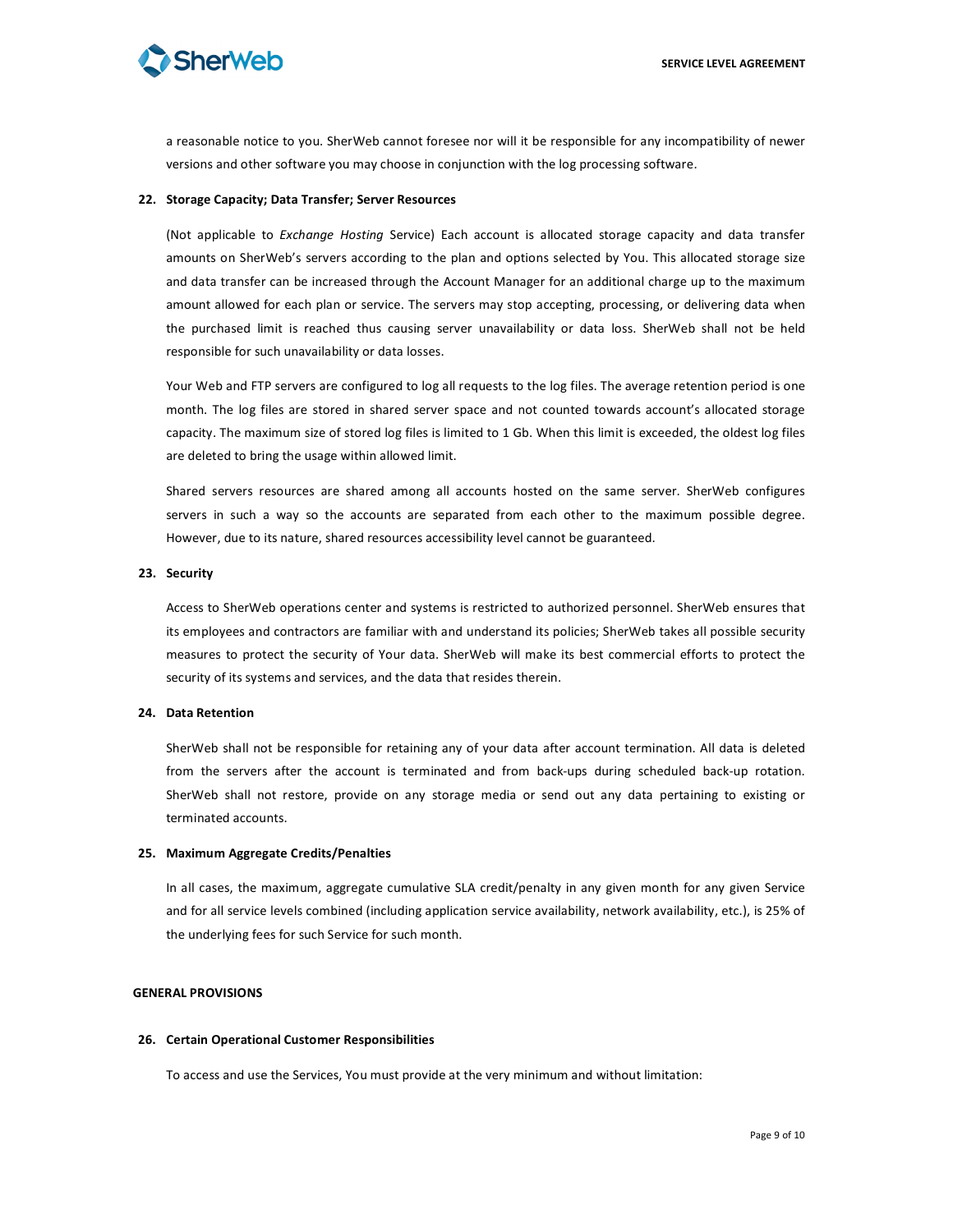

a reasonable notice to you. SherWeb cannot foresee nor will it be responsible for any incompatibility of newer versions and other software you may choose in conjunction with the log processing software.

#### **22. Storage
Capacity;
Data
Transfer;
Server
Resources**

(Not applicable to *Exchange Hosting Service*) Each account is allocated storage capacity and data transfer amounts on SherWeb's servers according to the plan and options selected by You. This allocated storage size and data transfer can be increased through the Account Manager for an additional charge up to the maximum amount allowed for each plan or service. The servers may stop accepting, processing, or delivering data when the purchased limit is reached thus causing server unavailability or data loss. SherWeb shall not be held responsible
for
such
unavailability
or
data
losses.

Your Web and FTP servers are configured to log all requests to the log files. The average retention period is one month. The log files are stored in shared server space and not counted towards account's allocated storage capacity. The maximum size of stored log files is limited to 1 Gb. When this limit is exceeded, the oldest log files are
deleted
to
bring
the
usage
within
allowed
limit.

Shared servers resources are shared among all accounts hosted on the same server. SherWeb configures servers in such a way so the accounts are separated from each other to the maximum possible degree. However, due to its nature, shared resources accessibility level cannot be guaranteed.

#### **23. Security**

Access to SherWeb operations center and systems is restricted to authorized personnel. SherWeb ensures that its employees and contractors are familiar with and understand its policies; SherWeb takes all possible security measures to protect the security of Your data. SherWeb will make its best commercial efforts to protect the security of its systems and services, and the data that resides therein.

# **24. Data Retention**

SherWeb shall not be responsible for retaining any of your data after account termination. All data is deleted from the servers after the account is terminated and from back-ups during scheduled back-up rotation. SherWeb shall not restore, provide on any storage media or send out any data pertaining to existing or terminated
accounts.

#### **25. Maximum
Aggregate
Credits/Penalties**

In all cases, the maximum, aggregate cumulative SLA credit/penalty in any given month for any given Service and for all service levels combined (including application service availability, network availability, etc.), is 25% of the
underlying
fees
for
such
Service
for
such
month.

# **GENERAL
PROVISIONS**

#### **26. Certain
Operational
Customer
Responsibilities**

To
access
and
use
the
Services,
You
must
provide
at
the
very
minimum
and
without
limitation: